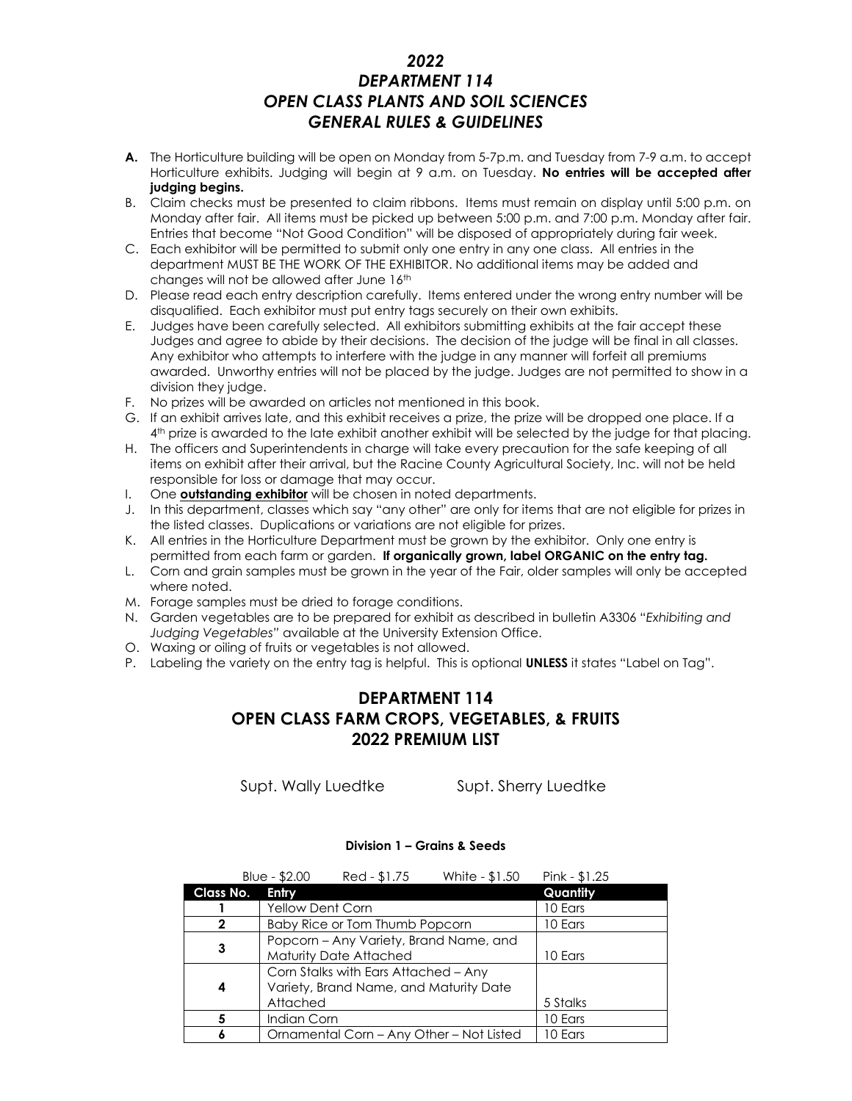## *2022 DEPARTMENT 114 OPEN CLASS PLANTS AND SOIL SCIENCES GENERAL RULES & GUIDELINES*

- **A.** The Horticulture building will be open on Monday from 5-7p.m. and Tuesday from 7-9 a.m. to accept Horticulture exhibits. Judging will begin at 9 a.m. on Tuesday. **No entries will be accepted after judging begins.**
- B. Claim checks must be presented to claim ribbons. Items must remain on display until 5:00 p.m. on Monday after fair. All items must be picked up between 5:00 p.m. and 7:00 p.m. Monday after fair. Entries that become "Not Good Condition" will be disposed of appropriately during fair week.
- C. Each exhibitor will be permitted to submit only one entry in any one class. All entries in the department MUST BE THE WORK OF THE EXHIBITOR. No additional items may be added and changes will not be allowed after June 16<sup>th</sup>
- D. Please read each entry description carefully. Items entered under the wrong entry number will be disqualified. Each exhibitor must put entry tags securely on their own exhibits.
- E. Judges have been carefully selected. All exhibitors submitting exhibits at the fair accept these Judges and agree to abide by their decisions. The decision of the judge will be final in all classes. Any exhibitor who attempts to interfere with the judge in any manner will forfeit all premiums awarded. Unworthy entries will not be placed by the judge. Judges are not permitted to show in a division they judge.
- F. No prizes will be awarded on articles not mentioned in this book.
- G. If an exhibit arrives late, and this exhibit receives a prize, the prize will be dropped one place. If a 4 th prize is awarded to the late exhibit another exhibit will be selected by the judge for that placing.
- H. The officers and Superintendents in charge will take every precaution for the safe keeping of all items on exhibit after their arrival, but the Racine County Agricultural Society, Inc. will not be held responsible for loss or damage that may occur.
- I. One **outstanding exhibitor** will be chosen in noted departments.
- J. In this department, classes which say "any other" are only for items that are not eligible for prizes in the listed classes. Duplications or variations are not eligible for prizes.
- K. All entries in the Horticulture Department must be grown by the exhibitor. Only one entry is permitted from each farm or garden. **If organically grown, label ORGANIC on the entry tag.**
- L. Corn and grain samples must be grown in the year of the Fair, older samples will only be accepted where noted.
- M. Forage samples must be dried to forage conditions.
- N. Garden vegetables are to be prepared for exhibit as described in bulletin A3306 "*Exhibiting and Judging Vegetables"* available at the University Extension Office.
- O. Waxing or oiling of fruits or vegetables is not allowed.
- P. Labeling the variety on the entry tag is helpful. This is optional **UNLESS** it states "Label on Tag".

# **DEPARTMENT 114 OPEN CLASS FARM CROPS, VEGETABLES, & FRUITS 2022 PREMIUM LIST**

Supt. Wally Luedtke Supt. Sherry Luedtke

### **Division 1 – Grains & Seeds**

|                  | Blue - $$2.00$          | Red - \$1.75                                                                   | White - \$1.50                           | $Pink - $1.25$ |
|------------------|-------------------------|--------------------------------------------------------------------------------|------------------------------------------|----------------|
| <b>Class No.</b> | Entry                   |                                                                                |                                          | Quantity       |
|                  | <b>Yellow Dent Corn</b> |                                                                                |                                          | 10 Ears        |
| $\mathbf{2}$     |                         | Baby Rice or Tom Thumb Popcorn                                                 |                                          | 10 Ears        |
| 3                |                         | Popcorn - Any Variety, Brand Name, and<br><b>Maturity Date Attached</b>        |                                          | 10 Ears        |
| 4                | Attached                | Corn Stalks with Ears Attached - Any<br>Variety, Brand Name, and Maturity Date |                                          | 5 Stalks       |
| 5                | Indian Corn             |                                                                                |                                          | 10 Ears        |
| 6                |                         |                                                                                | Ornamental Corn - Any Other - Not Listed | 10 Ears        |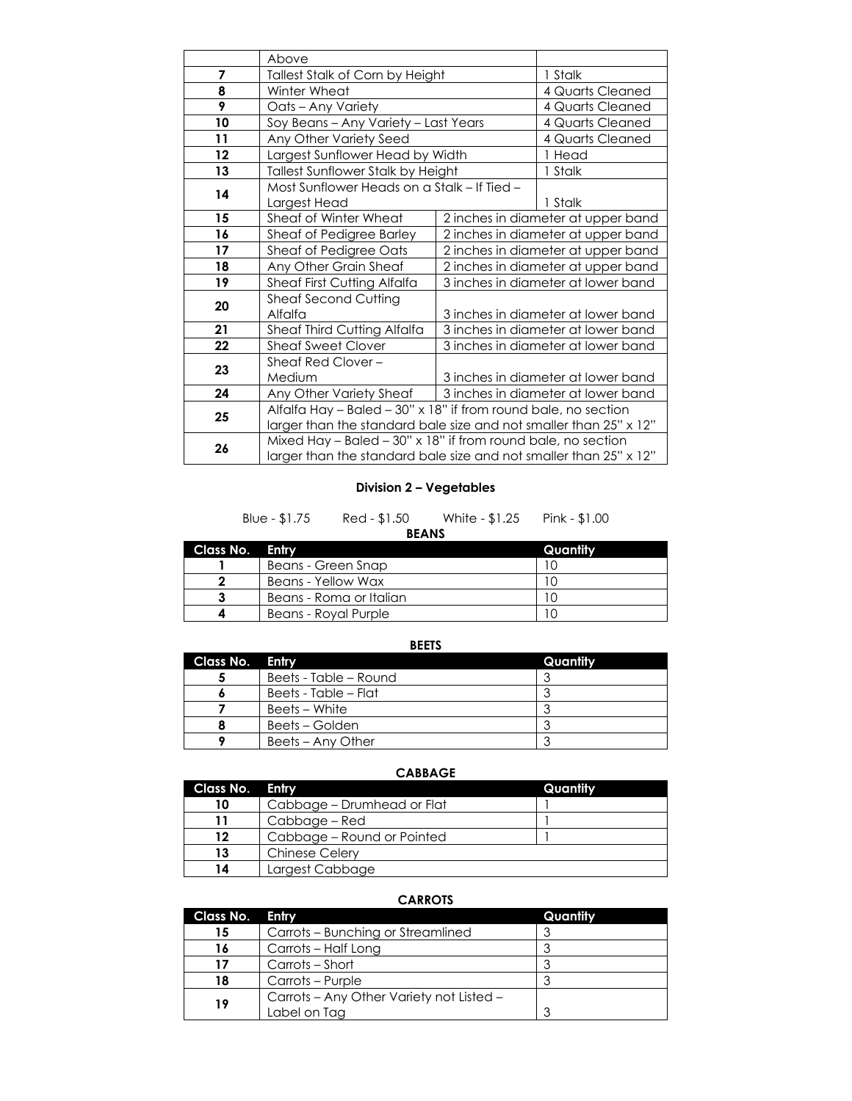|    | Above                                                                                                                               |                                             |                  |
|----|-------------------------------------------------------------------------------------------------------------------------------------|---------------------------------------------|------------------|
| 7  | Tallest Stalk of Corn by Height                                                                                                     |                                             | 1 Stalk          |
| 8  | Winter Wheat                                                                                                                        |                                             | 4 Quarts Cleaned |
| 9  | Oats - Any Variety                                                                                                                  |                                             | 4 Quarts Cleaned |
| 10 | Soy Beans - Any Variety - Last Years                                                                                                |                                             | 4 Quarts Cleaned |
| 11 | Any Other Variety Seed                                                                                                              |                                             | 4 Quarts Cleaned |
| 12 | Largest Sunflower Head by Width                                                                                                     |                                             | 1 Head           |
| 13 | Tallest Sunflower Stalk by Height                                                                                                   |                                             | 1 Stalk          |
| 14 | Largest Head                                                                                                                        | Most Sunflower Heads on a Stalk - If Tied - |                  |
| 15 | Sheaf of Winter Wheat                                                                                                               | 2 inches in diameter at upper band          |                  |
| 16 | Sheaf of Pedigree Barley                                                                                                            | 2 inches in diameter at upper band          |                  |
| 17 | Sheaf of Pedigree Oats                                                                                                              | 2 inches in diameter at upper band          |                  |
| 18 | Any Other Grain Sheaf                                                                                                               | 2 inches in diameter at upper band          |                  |
| 19 | Sheaf First Cutting Alfalfa                                                                                                         | 3 inches in diameter at lower band          |                  |
| 20 | <b>Sheaf Second Cutting</b><br>Alfalfa                                                                                              | 3 inches in diameter at lower band          |                  |
| 21 | Sheaf Third Cutting Alfalfa                                                                                                         | 3 inches in diameter at lower band          |                  |
| 22 | <b>Sheaf Sweet Clover</b>                                                                                                           | 3 inches in diameter at lower band          |                  |
| 23 | Sheaf Red Clover -<br>Medium                                                                                                        | 3 inches in diameter at lower band          |                  |
| 24 | Any Other Variety Sheaf                                                                                                             | 3 inches in diameter at lower band          |                  |
| 25 | Alfalfa Hay - Baled - 30" x 18" if from round bale, no section<br>larger than the standard bale size and not smaller than 25" x 12" |                                             |                  |
| 26 | Mixed Hay - Baled - 30" x 18" if from round bale, no section<br>larger than the standard bale size and not smaller than 25" x 12"   |                                             |                  |

## **Division 2 – Vegetables**

| Blue - \$1.75 | Red - \$1.50 | White - \$1.25 | Pink - \$1.00 |  |
|---------------|--------------|----------------|---------------|--|
|               | <b>BEANS</b> |                |               |  |

| Class No. Entry |                         | Quantity |
|-----------------|-------------------------|----------|
|                 | Beans - Green Snap      |          |
|                 | Beans - Yellow Wax      |          |
|                 | Beans - Roma or Italian |          |
|                 | Beans - Roval Purple    |          |

**BEETS**

| Class No. Entry |                       | Quantity |
|-----------------|-----------------------|----------|
|                 | Beets - Table – Round |          |
|                 | Beets - Table – Flat  |          |
|                 | Beets – White         |          |
|                 | Beets – Golden        |          |
|                 | Beets – Any Other     |          |

**CABBAGE**

| Class No. Entry |                            | Quantity |
|-----------------|----------------------------|----------|
| 10              | Cabbage – Drumhead or Flat |          |
|                 | Cabbage – Red              |          |
| 12              | Cabbage – Round or Pointed |          |
| 13              | <b>Chinese Celery</b>      |          |
| 14              | Largest Cabbage            |          |

## **CARROTS**

| Class No. | Entry                                    | Quantity |
|-----------|------------------------------------------|----------|
| 15        | Carrots – Bunching or Streamlined        | ≏        |
| 16        | Carrots - Half Long                      |          |
| 17        | Carrots – Short                          |          |
| 18        | Carrots – Purple                         |          |
| 19        | Carrots – Any Other Variety not Listed – |          |
|           | Label on Tag                             | 3        |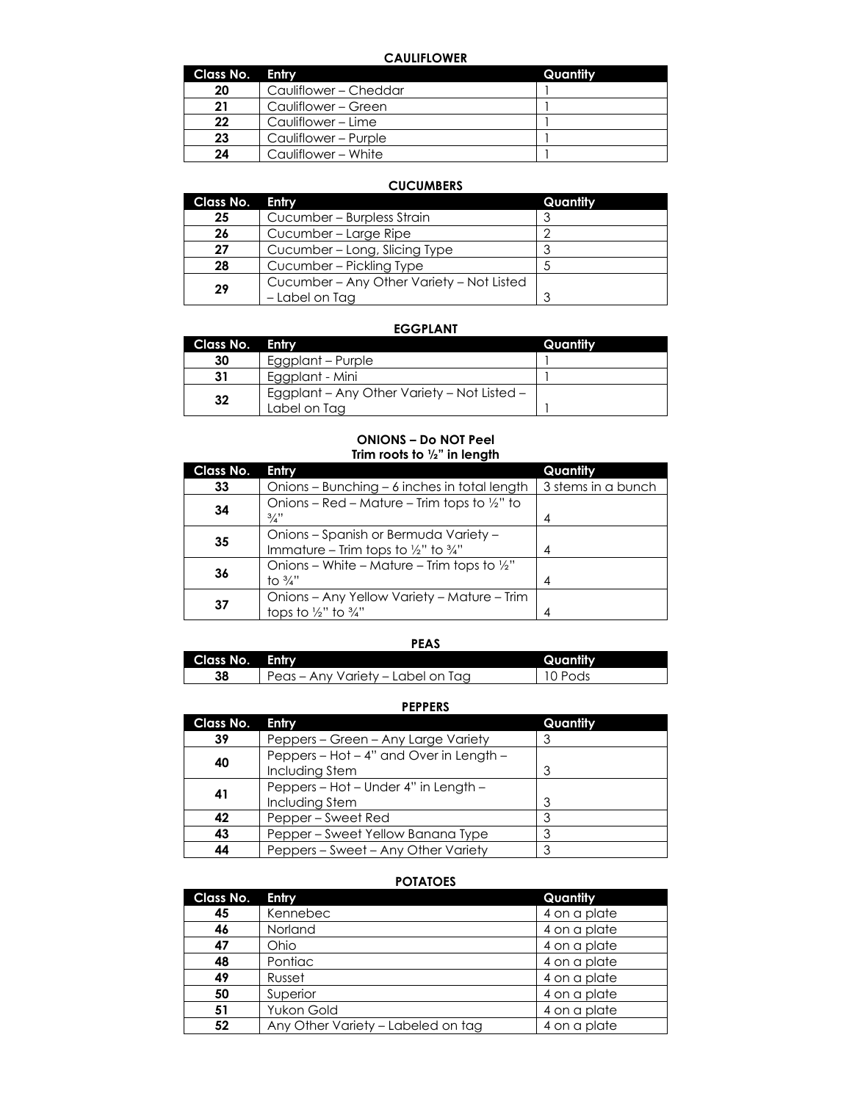### **CAULIFLOWER**

| Class No. Entry |                       | Quantity |
|-----------------|-----------------------|----------|
| 20              | Cauliflower – Cheddar |          |
| 21              | Cauliflower – Green   |          |
| 22              | Cauliflower – Lime    |          |
| 23              | Cauliflower - Purple  |          |
| 24              | Cauliflower - White   |          |

## **CUCUMBERS**

| <b>Class No.</b> | <b>Entry</b>                              | Quantity |
|------------------|-------------------------------------------|----------|
| 25               | Cucumber - Burpless Strain                |          |
| 26               | Cucumber - Large Ripe                     | n        |
| 27               | Cucumber – Long, Slicing Type             |          |
| 28               | Cucumber - Pickling Type                  |          |
| 29               | Cucumber – Any Other Variety – Not Listed |          |
|                  | - Label on Tag                            |          |

#### **EGGPLANT**

| Class No. Entry |                                                             | Quantity |
|-----------------|-------------------------------------------------------------|----------|
| 30              | Eggplant – Purple                                           |          |
| 31              | Eggplant - Mini                                             |          |
| 32              | Egaplant – Any Other Variety – Not Listed –<br>Label on Tag |          |

### **ONIONS – Do NOT Peel Trim roots to ½" in length**

| <b>Class No.</b> | Entry                                                                                               | Quantity           |
|------------------|-----------------------------------------------------------------------------------------------------|--------------------|
| 33               | Onions - Bunching - 6 inches in total length                                                        | 3 stems in a bunch |
| 34               | Onions – Red – Mature – Trim tops to $\frac{1}{2}$ " to<br>$\frac{3}{4}$                            | 4                  |
| 35               | Onions - Spanish or Bermuda Variety -<br>Immature – Trim tops to $\frac{1}{2}$ " to $\frac{3}{4}$ " | 4                  |
| 36               | Onions – White – Mature – Trim tops to $\frac{1}{2}$ "<br>to $\frac{3}{4}$ "                        | 4                  |
| 37               | Onions – Any Yellow Variety – Mature – Trim<br>tops to $\frac{1}{2}$ " to $\frac{3}{4}$ "           | 4                  |

|                 | <b>PEAS</b>                       |          |
|-----------------|-----------------------------------|----------|
| Class No. Entry |                                   | Quantity |
| 38              | Peas - Any Variety - Label on Tag | 10 Pods  |

#### **PEPPERS**

| Class No. | Entry                                   | Quantity |
|-----------|-----------------------------------------|----------|
| 39        | Peppers – Green – Any Large Variety     |          |
|           | Peppers - Hot - 4" and Over in Length - |          |
| 40        | Including Stem                          | З        |
|           | Peppers - Hot - Under 4" in Length -    |          |
| 41        | Including Stem                          | 3        |
| 42        | Pepper – Sweet Red                      | 3        |
| 43        | Pepper – Sweet Yellow Banana Type       | 3        |
| 44        | Peppers - Sweet - Any Other Variety     | 3        |

## **POTATOES**

| <b>Class No.</b> | Entry                              | Quantity     |
|------------------|------------------------------------|--------------|
| 45               | Kennebec                           | 4 on a plate |
| 46               | Norland                            | 4 on a plate |
| 47               | Ohio                               | 4 on a plate |
| 48               | Pontiac                            | 4 on a plate |
| 49               | Russet                             | 4 on a plate |
| 50               | Superior                           | 4 on a plate |
| 51               | Yukon Gold                         | 4 on a plate |
| 52               | Any Other Variety - Labeled on tag | 4 on a plate |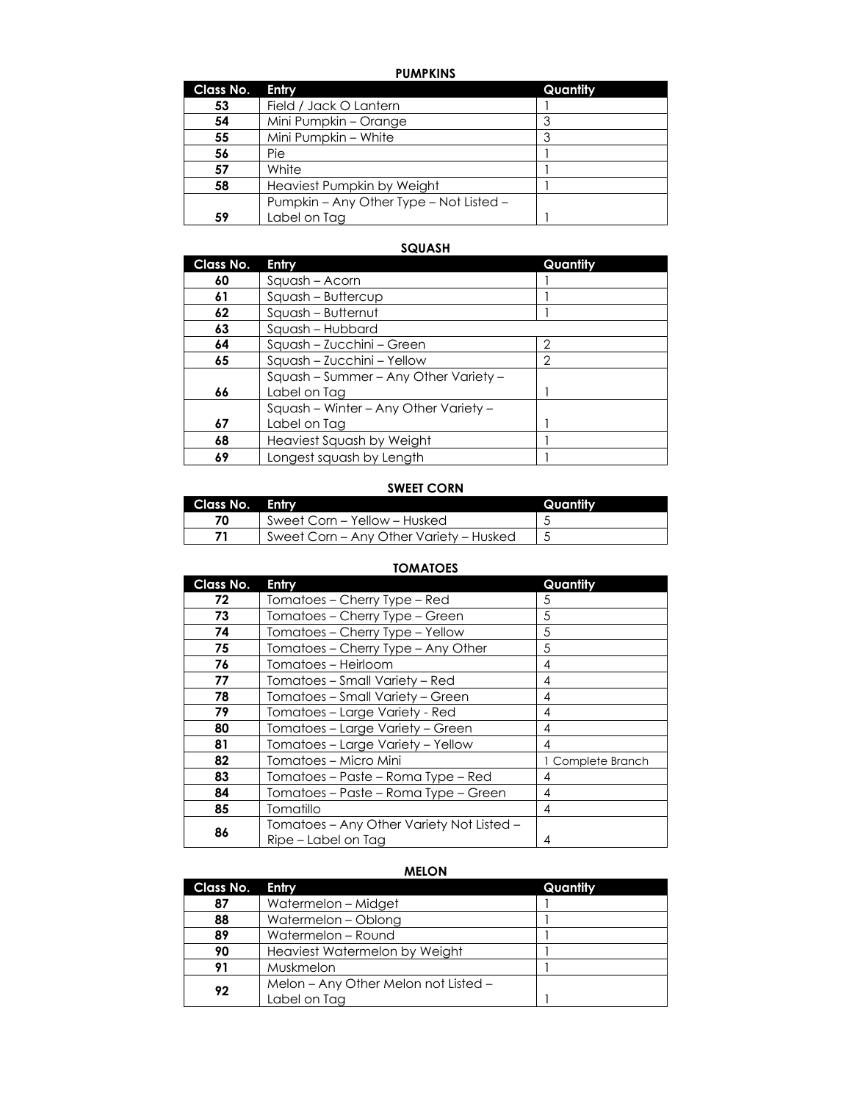## **PUMPKINS**

| Class No. | Entry                                   | Quantity |
|-----------|-----------------------------------------|----------|
| 53        | Field / Jack O Lantern                  |          |
| 54        | Mini Pumpkin - Orange                   |          |
| 55        | Mini Pumpkin - White                    | 3        |
| 56        | Pie                                     |          |
| 57        | White                                   |          |
| 58        | Heaviest Pumpkin by Weight              |          |
|           | Pumpkin – Any Other Type – Not Listed – |          |
| 59        | Label on Tag                            |          |

## **SQUASH**

| Class No. | Entry                                                 | Quantity       |
|-----------|-------------------------------------------------------|----------------|
| 60        | Squash - Acorn                                        |                |
| 61        | Squash - Buttercup                                    |                |
| 62        | Squash - Butternut                                    |                |
| 63        | Squash - Hubbard                                      |                |
| 64        | Squash - Zucchini - Green                             | 2              |
| 65        | Squash - Zucchini - Yellow                            | $\overline{2}$ |
| 66        | Squash - Summer - Any Other Variety -<br>Label on Tag |                |
|           | Squash - Winter - Any Other Variety -                 |                |
| 67        | Label on Tag                                          |                |
| 68        | Heaviest Squash by Weight                             |                |
| 69        | Longest squash by Length                              |                |

## **SWEET CORN**

| Class No. | Entry                                   | Quantity |
|-----------|-----------------------------------------|----------|
| 70        | Sweet Corn - Yellow - Husked            |          |
|           | Sweet Corn – Any Other Variety – Husked |          |

## **TOMATOES**

| <b>Class No.</b> | Entry                                     | Quantity          |
|------------------|-------------------------------------------|-------------------|
| 72               | Tomatoes - Cherry Type - Red              | 5                 |
| 73               | Tomatoes - Cherry Type - Green            | 5                 |
| 74               | Tomatoes - Cherry Type - Yellow           | 5                 |
| 75               | Tomatoes – Cherry Type – Any Other        | 5                 |
| 76               | Tomatoes - Heirloom                       | 4                 |
| 77               | Tomatoes – Small Variety – Red            | 4                 |
| 78               | Tomatoes - Small Variety - Green          | 4                 |
| 79               | Tomatoes - Large Variety - Red            | 4                 |
| 80               | Tomatoes - Large Variety - Green          | 4                 |
| 81               | Tomatoes - Large Variety - Yellow         | 4                 |
| 82               | Tomatoes - Micro Mini                     | 1 Complete Branch |
| 83               | Tomatoes - Paste - Roma Type - Red        | 4                 |
| 84               | Tomatoes – Paste – Roma Type – Green      | 4                 |
| 85               | Tomatillo                                 | 4                 |
|                  | Tomatoes - Any Other Variety Not Listed - |                   |
| 86               | Ripe – Label on Tag                       | 4                 |

## **MELON**

| Class No. | Entry                                | Quantity |
|-----------|--------------------------------------|----------|
| 87        | Watermelon - Midget                  |          |
| 88        | Watermelon - Oblong                  |          |
| 89        | Watermelon - Round                   |          |
| 90        | Heaviest Watermelon by Weight        |          |
| 91        | Muskmelon                            |          |
| 92        | Melon - Any Other Melon not Listed - |          |
|           | Label on Tag                         |          |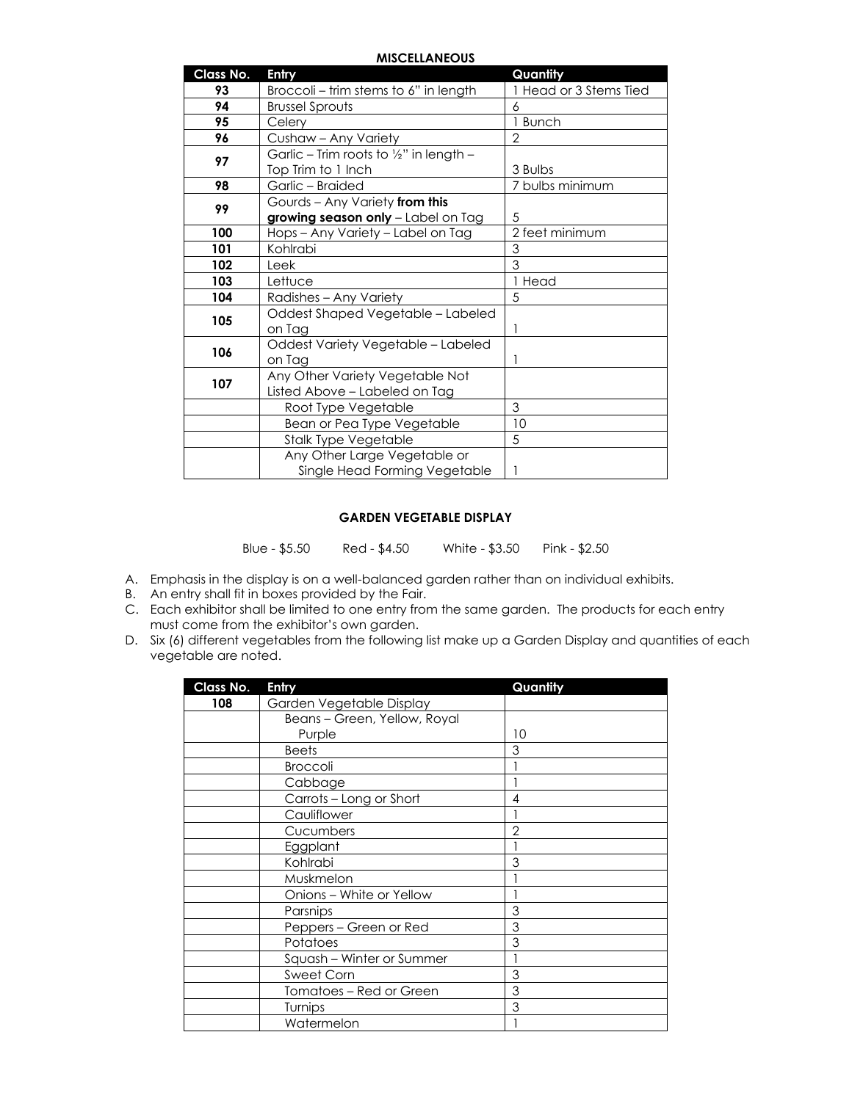#### **MISCELLANEOUS**

| Class No. | Entry                                              | Quantity               |
|-----------|----------------------------------------------------|------------------------|
| 93        | Broccoli - trim stems to 6" in length              | 1 Head or 3 Stems Tied |
| 94        | <b>Brussel Sprouts</b>                             | 6                      |
| 95        | Celery                                             | 1 Bunch                |
| 96        | Cushaw - Any Variety                               | 2                      |
| 97        | Garlic - Trim roots to $\frac{1}{2}$ " in length - |                        |
|           | Top Trim to 1 Inch                                 | 3 Bulbs                |
| 98        | Garlic - Braided                                   | 7 bulbs minimum        |
| 99        | Gourds - Any Variety from this                     |                        |
|           | growing season only - Label on Tag                 | 5                      |
| 100       | Hops - Any Variety - Label on Tag                  | 2 feet minimum         |
| 101       | Kohlrabi                                           | 3                      |
| 102       | Leek                                               | 3                      |
| 103       | Lettuce                                            | 1 Head                 |
| 104       | Radishes - Any Variety                             | 5                      |
| 105       | Oddest Shaped Vegetable - Labeled                  |                        |
|           | on Tag                                             |                        |
| 106       | Oddest Variety Vegetable - Labeled                 |                        |
|           | on Tag                                             |                        |
| 107       | Any Other Variety Vegetable Not                    |                        |
|           | Listed Above - Labeled on Tag                      |                        |
|           | Root Type Vegetable                                | 3                      |
|           | Bean or Pea Type Vegetable                         | 10                     |
|           | <b>Stalk Type Vegetable</b>                        | 5                      |
|           | Any Other Large Vegetable or                       |                        |
|           | Single Head Forming Vegetable                      |                        |

#### **GARDEN VEGETABLE DISPLAY**

Blue - \$5.50 Red - \$4.50 White - \$3.50 Pink - \$2.50

- A. Emphasis in the display is on a well-balanced garden rather than on individual exhibits.
- B. An entry shall fit in boxes provided by the Fair.
- C. Each exhibitor shall be limited to one entry from the same garden. The products for each entry must come from the exhibitor's own garden.
- D. Six (6) different vegetables from the following list make up a Garden Display and quantities of each vegetable are noted.

| <b>Class No.</b> | Entry                        | Quantity |
|------------------|------------------------------|----------|
| 108              | Garden Vegetable Display     |          |
|                  | Beans - Green, Yellow, Royal |          |
|                  | Purple                       | 10       |
|                  | <b>Beets</b>                 | 3        |
|                  | <b>Broccoli</b>              |          |
|                  | Cabbage                      |          |
|                  | Carrots - Long or Short      | 4        |
|                  | Cauliflower                  |          |
|                  | Cucumbers                    | 2        |
|                  | Eggplant                     |          |
|                  | Kohlrabi                     | 3        |
|                  | Muskmelon                    |          |
|                  | Onions - White or Yellow     |          |
|                  | Parsnips                     | 3        |
|                  | Peppers - Green or Red       | 3        |
|                  | Potatoes                     | 3        |
|                  | Squash - Winter or Summer    |          |
|                  | <b>Sweet Corn</b>            | 3        |
|                  | Tomatoes – Red or Green      | 3        |
|                  | Turnips                      | 3        |
|                  | Watermelon                   |          |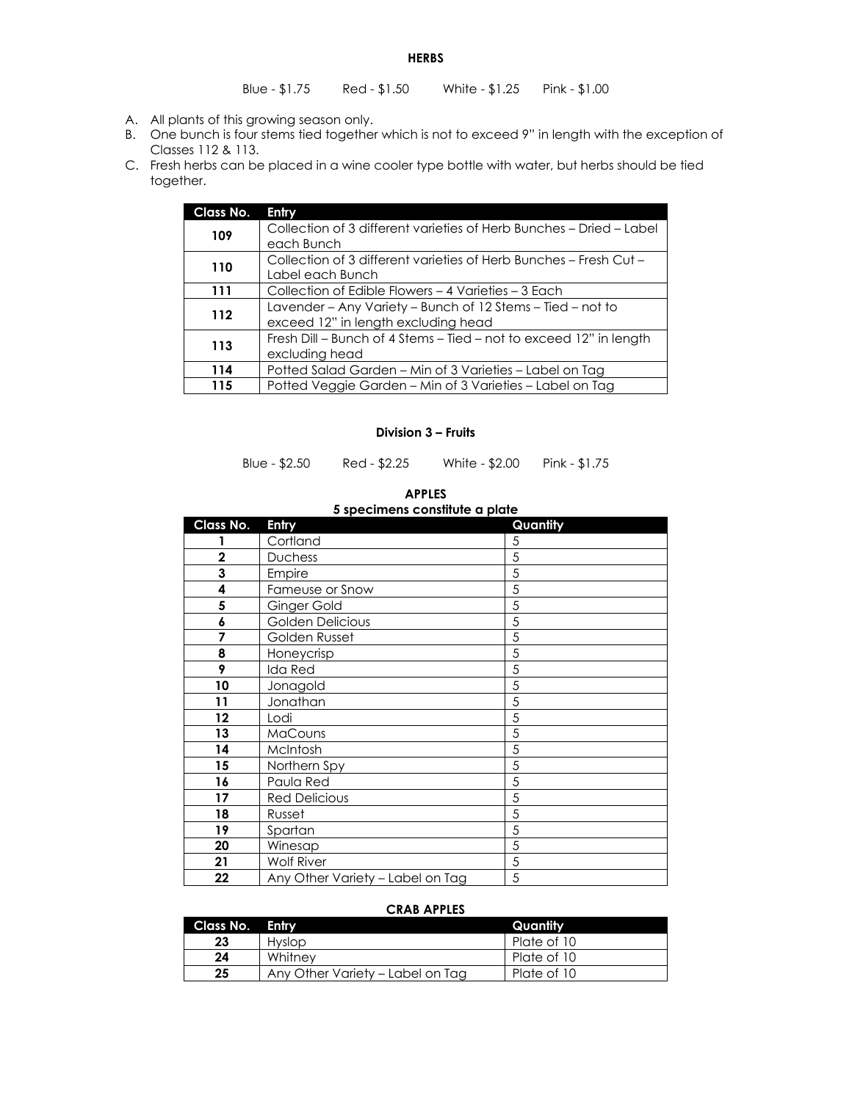**HERBS**

- A. All plants of this growing season only.
- B. One bunch is four stems tied together which is not to exceed 9" in length with the exception of Classes 112 & 113.
- C. Fresh herbs can be placed in a wine cooler type bottle with water, but herbs should be tied together.

| Class No. | Entry                                                                                             |
|-----------|---------------------------------------------------------------------------------------------------|
| 109       | Collection of 3 different varieties of Herb Bunches - Dried - Label<br>each Bunch                 |
| 110       | Collection of 3 different varieties of Herb Bunches - Fresh Cut -<br>Label each Bunch             |
| 111       | Collection of Edible Flowers – 4 Varieties – 3 Each                                               |
| 112       | Lavender – Any Variety – Bunch of 12 Stems – Tied – not to<br>exceed 12" in length excluding head |
| 113       | Fresh Dill – Bunch of 4 Stems – Tied – not to exceed 12" in length<br>excluding head              |
| 114       | Potted Salad Garden – Min of 3 Varieties – Label on Tag                                           |
| 115       | Potted Veggie Garden - Min of 3 Varieties - Label on Tag                                          |

#### **Division 3 – Fruits**

Blue - \$2.50 Red - \$2.25 White - \$2.00 Pink - \$1.75

#### **APPLES**

| Class No.    | Entry                            | Quantity |
|--------------|----------------------------------|----------|
|              | Cortland                         | 5        |
| $\mathbf{2}$ | <b>Duchess</b>                   | 5        |
| 3            | Empire                           | 5        |
| 4            | Fameuse or Snow                  | 5        |
| 5            | Ginger Gold                      | 5        |
| 6            | Golden Delicious                 | 5        |
| 7            | Golden Russet                    | 5        |
| 8            | Honeycrisp                       | 5        |
| 9            | Ida Red                          | 5        |
| 10           | Jonagold                         | 5        |
| 11           | Jonathan                         | 5        |
| 12           | Lodi                             | 5        |
| 13           | MaCouns                          | 5        |
| 14           | McIntosh                         | 5        |
| 15           | Northern Spy                     | 5        |
| 16           | Paula Red                        | 5        |
| 17           | <b>Red Delicious</b>             | 5        |
| 18           | Russet                           | 5        |
| 19           | Spartan                          | 5        |
| 20           | Winesap                          | 5        |
| 21           | <b>Wolf River</b>                | 5        |
| 22           | Any Other Variety - Label on Tag | 5        |

#### **5 specimens constitute a plate**

#### **CRAB APPLES**

| Class No. Entry |                                  | Quantity    |
|-----------------|----------------------------------|-------------|
| 23              | Hyslop                           | Plate of 10 |
| 24              | Whitney                          | Plate of 10 |
| 25              | Any Other Variety - Label on Tag | Plate of 10 |